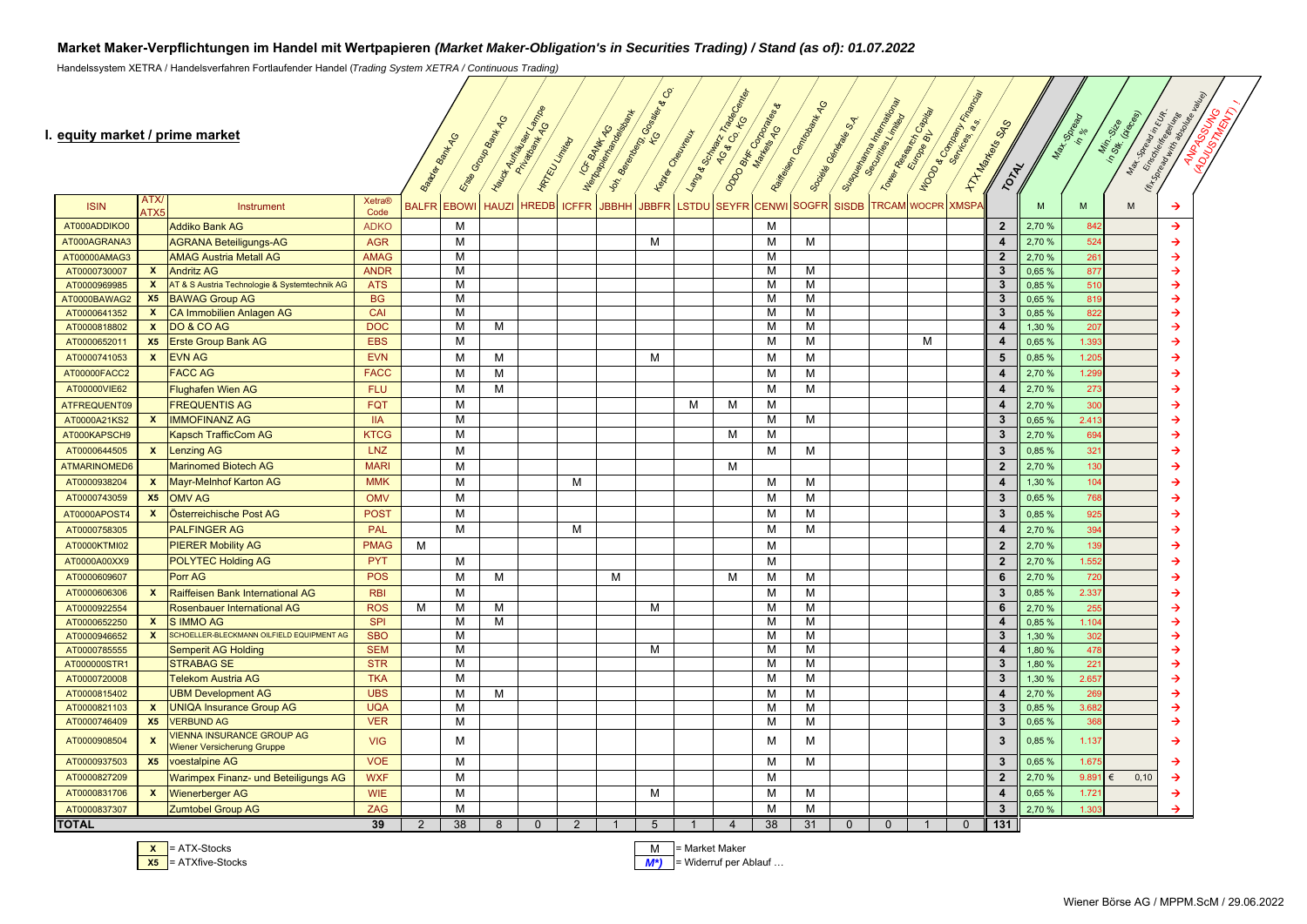## **Market Maker-Verpflichtungen im Handel mit Wertpapieren** *(Market Maker-Obligation's in Securities Trading) / Stand (as of): 01.07.2022*

Handelssystem XETRA / Handelsverfahren Fortlaufender Handel (*Trading System XETRA / Continuous Trading)*

#### **I. equity market / prime market**

| equity market / prime market |                           |                                                                |                       |                | Bagger Bank 14G | England Outro Bank 14G<br>Hayck Auntaines | <b>HATEU LITTING</b><br>Private Mark | ICK BANKAGO  | <b>Indianapolisman</b><br>Ion Beendance | $\mathcal{C}^{\circ}$<br>· Gossier<br><b>Tesys Challenge</b> | Language Jackson  | · Tradecometer<br>AG & Co. KG | ODO BKK GORDON | Railways Cambridge MAG | Sueprantamental Registration<br>Société Gerberge ord.<br>Securities Limit | Tower Reserved To Contact | <b>MOON ACCORD MEMORIAL REPORT</b> | <b>HAT Mass SOSS</b><br>TONE |        | Max 130 Rec       | Max-Spread In King<br>In Second employees<br>Min. Sile<br>In St. Joles |               |
|------------------------------|---------------------------|----------------------------------------------------------------|-----------------------|----------------|-----------------|-------------------------------------------|--------------------------------------|--------------|-----------------------------------------|--------------------------------------------------------------|-------------------|-------------------------------|----------------|------------------------|---------------------------------------------------------------------------|---------------------------|------------------------------------|------------------------------|--------|-------------------|------------------------------------------------------------------------|---------------|
| <b>ISIN</b>                  | ATX<br><b>ATX5</b>        | Instrument                                                     | <b>Xetra®</b><br>Code | <b>BALFR</b>   | <b>EBOWI</b>    | <b>HAUZI</b>                              | <b>HREDB</b>                         | <b>ICFFR</b> | <b>JBBHH</b>                            |                                                              | JBBFR LSTDU SEYFR |                               | <b>CENWI</b>   | <b>SOGFR</b>           | <b>SISDB</b>                                                              | <b>TRCAM WOCPR XMSP/</b>  |                                    |                              | M      | M                 | M                                                                      | →             |
| AT000ADDIKO0                 |                           | <b>Addiko Bank AG</b>                                          | <b>ADKO</b>           |                | M               |                                           |                                      |              |                                         |                                                              |                   |                               | М              |                        |                                                                           |                           |                                    | $\overline{2}$               | 2.70 % | 842               |                                                                        | $\rightarrow$ |
| AT000AGRANA3                 |                           | <b>AGRANA Beteiligungs-AG</b>                                  | <b>AGR</b>            |                | M               |                                           |                                      |              |                                         | M                                                            |                   |                               | м              | м                      |                                                                           |                           |                                    | $\overline{4}$               | 2,70 % | 524               |                                                                        | $\rightarrow$ |
| AT00000AMAG3                 |                           | <b>AMAG Austria Metall AG</b>                                  | <b>AMAG</b>           |                | M               |                                           |                                      |              |                                         |                                                              |                   |                               | M              |                        |                                                                           |                           |                                    | $\overline{2}$               | 2,70 % | 26 <sup>°</sup>   |                                                                        | →             |
| AT0000730007                 | $\mathbf{x}$              | <b>Andritz AG</b>                                              | <b>ANDR</b>           |                | M               |                                           |                                      |              |                                         |                                                              |                   |                               | M              | M                      |                                                                           |                           |                                    | $\overline{\mathbf{3}}$      | 0,65 % | 877               |                                                                        | $\rightarrow$ |
| AT0000969985                 | $\boldsymbol{\mathsf{x}}$ | AT & S Austria Technologie & Systemtechnik AG                  | <b>ATS</b>            |                | M               |                                           |                                      |              |                                         |                                                              |                   |                               | М              | M                      |                                                                           |                           |                                    | $\mathbf{3}$                 | 0,85%  | 510               |                                                                        | $\rightarrow$ |
| AT0000BAWAG2                 | X <sub>5</sub>            | <b>BAWAG Group AG</b>                                          | <b>BG</b>             |                | M               |                                           |                                      |              |                                         |                                                              |                   |                               | М              | M                      |                                                                           |                           |                                    | $\mathbf{3}$                 | 0,65 % | 819               |                                                                        | $\rightarrow$ |
| AT0000641352                 | $\mathbf{x}$              | CA Immobilien Anlagen AG                                       | CAI                   |                | М               |                                           |                                      |              |                                         |                                                              |                   |                               | M              | M                      |                                                                           |                           |                                    | $\mathbf{3}$                 | 0,85 % | 822               |                                                                        | →             |
| AT0000818802                 | $\boldsymbol{\mathsf{x}}$ | DO & CO AG                                                     | <b>DOC</b>            |                | M               | M                                         |                                      |              |                                         |                                                              |                   |                               | М              | M                      |                                                                           |                           |                                    | $\overline{\mathbf{4}}$      | 1,30 % | 207               |                                                                        | →             |
| AT0000652011                 | X <sub>5</sub>            | <b>Erste Group Bank AG</b>                                     | <b>EBS</b>            |                | м               |                                           |                                      |              |                                         |                                                              |                   |                               | М              | M                      |                                                                           | м                         |                                    | $\overline{\mathbf{4}}$      | 0,65%  | 1.39              |                                                                        | $\rightarrow$ |
| AT0000741053                 | $\mathbf{x}$              | <b>EVN AG</b>                                                  | <b>EVN</b>            |                | M               | M                                         |                                      |              |                                         | M                                                            |                   |                               | M              | M                      |                                                                           |                           |                                    | $5\phantom{a}$               | 0,85 % | 1.205             |                                                                        | $\rightarrow$ |
| AT00000FACC2                 |                           | <b>FACC AG</b>                                                 | <b>FACC</b>           |                | M               | м                                         |                                      |              |                                         |                                                              |                   |                               | М              | M                      |                                                                           |                           |                                    | $\overline{4}$               | 2,70 % | 1.29              |                                                                        | $\rightarrow$ |
| AT00000VIE62                 |                           | <b>Flughafen Wien AG</b>                                       | <b>FLU</b>            |                | M               | M                                         |                                      |              |                                         |                                                              |                   |                               | M              | M                      |                                                                           |                           |                                    | $\overline{4}$               | 2,70 % | 273               |                                                                        | $\rightarrow$ |
| ATFREQUENT09                 |                           | <b>FREQUENTIS AG</b>                                           | <b>FQT</b>            |                | M               |                                           |                                      |              |                                         |                                                              | М                 | M                             | М              |                        |                                                                           |                           |                                    | $\overline{\mathbf{4}}$      | 2,70 % | 300               |                                                                        | $\rightarrow$ |
| AT0000A21KS2                 | $\mathbf{x}$              | <b>IMMOFINANZ AG</b>                                           | <b>IIA</b>            |                | M               |                                           |                                      |              |                                         |                                                              |                   |                               | М              | м                      |                                                                           |                           |                                    | $\mathbf{3}$                 | 0,65 % | 2.41              |                                                                        | $\rightarrow$ |
| AT000KAPSCH9                 |                           | <b>Kapsch TrafficCom AG</b>                                    | <b>KTCG</b>           |                | M               |                                           |                                      |              |                                         |                                                              |                   | м                             | M              |                        |                                                                           |                           |                                    | $\overline{3}$               | 2,70 % | 694               |                                                                        | $\rightarrow$ |
| AT0000644505                 | $\mathbf{x}$              | <b>Lenzing AG</b>                                              | LNZ                   |                | M               |                                           |                                      |              |                                         |                                                              |                   |                               | м              | м                      |                                                                           |                           |                                    | $\overline{3}$               | 0,85%  | 32 <sup>2</sup>   |                                                                        | $\rightarrow$ |
| <b>ATMARINOMED6</b>          |                           | <b>Marinomed Biotech AG</b>                                    | <b>MARI</b>           |                | M               |                                           |                                      |              |                                         |                                                              |                   | M                             |                |                        |                                                                           |                           |                                    | $\overline{2}$               | 2,70 % | 13 <sub>C</sub>   |                                                                        | $\rightarrow$ |
| AT0000938204                 | $\mathbf{x}$              | <b>Mayr-Melnhof Karton AG</b>                                  | <b>MMK</b>            |                | M               |                                           |                                      | M            |                                         |                                                              |                   |                               | M              | M                      |                                                                           |                           |                                    | $\overline{4}$               | 1,30 % | 104               |                                                                        | $\rightarrow$ |
| AT0000743059                 | X <sub>5</sub>            | <b>OMV AG</b>                                                  | <b>OMV</b>            |                | M               |                                           |                                      |              |                                         |                                                              |                   |                               | M              | M                      |                                                                           |                           |                                    | $\overline{3}$               | 0,65 % | 768               |                                                                        | $\rightarrow$ |
| AT0000APOST4                 | $\boldsymbol{\mathsf{x}}$ | Österreichische Post AG                                        | <b>POST</b>           |                | M               |                                           |                                      |              |                                         |                                                              |                   |                               | м              | M                      |                                                                           |                           |                                    | $\mathbf{3}$                 | 0,85 % | 925               |                                                                        | $\rightarrow$ |
| AT0000758305                 |                           | <b>PALFINGER AG</b>                                            | PAL                   |                | M               |                                           |                                      | M            |                                         |                                                              |                   |                               | M              | M                      |                                                                           |                           |                                    | $\overline{4}$               | 2.70 % | 394               |                                                                        | $\rightarrow$ |
| AT0000KTMI02                 |                           | <b>PIERER Mobility AG</b>                                      | <b>PMAG</b>           | м              |                 |                                           |                                      |              |                                         |                                                              |                   |                               | М              |                        |                                                                           |                           |                                    | $\overline{2}$               | 2,70 % | 139               |                                                                        | $\rightarrow$ |
| AT0000A00XX9                 |                           | <b>POLYTEC Holding AG</b>                                      | <b>PYT</b>            |                | M               |                                           |                                      |              |                                         |                                                              |                   |                               | М              |                        |                                                                           |                           |                                    | $\overline{2}$               | 2,70 % | 1.552             |                                                                        | $\rightarrow$ |
| AT0000609607                 |                           | Porr AG                                                        | <b>POS</b>            |                | M               | M                                         |                                      |              | м                                       |                                                              |                   | M                             | M              | м                      |                                                                           |                           |                                    | 6                            | 2.70 % | 720               |                                                                        | $\rightarrow$ |
| AT0000606306                 | $\mathbf{x}$              | Raiffeisen Bank International AG                               | <b>RBI</b>            |                | M               |                                           |                                      |              |                                         |                                                              |                   |                               | м              | M                      |                                                                           |                           |                                    | $\overline{3}$               | 0,85 % | 2.337             |                                                                        | $\rightarrow$ |
| AT0000922554                 |                           | <b>Rosenbauer International AG</b>                             | <b>ROS</b>            | M              | M               | м                                         |                                      |              |                                         | M                                                            |                   |                               | M              | M                      |                                                                           |                           |                                    | 6                            | 2,70 % | 25!               |                                                                        | $\rightarrow$ |
| AT0000652250                 | $\mathbf{x}$              | <b>SIMMO AG</b>                                                | <b>SPI</b>            |                | м               | M                                         |                                      |              |                                         |                                                              |                   |                               | M              | M                      |                                                                           |                           |                                    | $\overline{\mathbf{4}}$      | 0,85 % | 1.104             |                                                                        | $\rightarrow$ |
| AT0000946652                 | $\mathbf{x}$              | SCHOELLER-BLECKMANN OILFIELD EQUIPMENT AG                      | <b>SBO</b>            |                | м               |                                           |                                      |              |                                         |                                                              |                   |                               | М              | M                      |                                                                           |                           |                                    | $\overline{\mathbf{3}}$      | 1,30 % | 30 <sub>2</sub>   |                                                                        | $\rightarrow$ |
| AT0000785555                 |                           | <b>Semperit AG Holding</b>                                     | <b>SEM</b>            |                | M               |                                           |                                      |              |                                         | M                                                            |                   |                               | M              | M                      |                                                                           |                           |                                    | $\overline{4}$               | 1,80%  | 478               |                                                                        | $\rightarrow$ |
| AT000000STR1                 |                           | <b>STRABAG SE</b>                                              | <b>STR</b>            |                | M               |                                           |                                      |              |                                         |                                                              |                   |                               | М              | M                      |                                                                           |                           |                                    | $\mathbf{3}$                 | 1,80 % | 22 <sup>2</sup>   |                                                                        | $\rightarrow$ |
| AT0000720008                 |                           | <b>Telekom Austria AG</b>                                      | <b>TKA</b>            |                | M               |                                           |                                      |              |                                         |                                                              |                   |                               | м              | M                      |                                                                           |                           |                                    | $\mathbf{3}$                 | 1,30 % | 2.65              |                                                                        | $\rightarrow$ |
| AT0000815402                 |                           | <b>UBM Development AG</b>                                      | <b>UBS</b>            |                | M               | м                                         |                                      |              |                                         |                                                              |                   |                               | M              | M                      |                                                                           |                           |                                    | $\overline{4}$               | 2,70 % | 269               |                                                                        | $\rightarrow$ |
| AT0000821103                 | $\boldsymbol{\mathsf{x}}$ | <b>UNIQA Insurance Group AG</b>                                | <b>UQA</b>            |                | M               |                                           |                                      |              |                                         |                                                              |                   |                               | М              | M                      |                                                                           |                           |                                    | $\mathbf{3}$                 | 0,85%  | 3.68              |                                                                        | $\rightarrow$ |
| AT0000746409                 | X <sub>5</sub>            | <b>VERBUND AG</b>                                              | <b>VER</b>            |                | M               |                                           |                                      |              |                                         |                                                              |                   |                               | М              | M                      |                                                                           |                           |                                    | $\mathbf{3}$                 | 0,65 % | 36                |                                                                        | $\rightarrow$ |
| AT0000908504                 | $\boldsymbol{x}$          | <b>/IENNA INSURANCE GROUP AG</b><br>Wiener Versicherung Gruppe | <b>VIG</b>            |                | M               |                                           |                                      |              |                                         |                                                              |                   |                               | м              | м                      |                                                                           |                           |                                    | $\mathbf{3}$                 | 0,85 % | 1.137             |                                                                        | $\rightarrow$ |
| AT0000937503                 | X5                        | voestalpine AG                                                 | <b>VOE</b>            |                | M               |                                           |                                      |              |                                         |                                                              |                   |                               | м              | M                      |                                                                           |                           |                                    | $\mathbf{3}$                 | 0,65 % | 1.67!             |                                                                        | $\rightarrow$ |
| AT0000827209                 |                           | <b>Warimpex Finanz- und Beteiligungs AG</b>                    | <b>WXF</b>            |                | M               |                                           |                                      |              |                                         |                                                              |                   |                               | M              |                        |                                                                           |                           |                                    | $\overline{2}$               | 2,70 % | 9.89              | 0,10                                                                   | $\rightarrow$ |
| AT0000831706                 | $\mathbf{x}$              | <b>Wienerberger AG</b>                                         | <b>WIE</b>            |                | M               |                                           |                                      |              |                                         | M                                                            |                   |                               | M              | м                      |                                                                           |                           |                                    | $\overline{4}$               | 0,65%  | 1.72              |                                                                        | $\rightarrow$ |
| AT0000837307                 |                           | <b>Zumtobel Group AG</b>                                       | <b>ZAG</b>            |                | M               |                                           |                                      |              |                                         |                                                              |                   |                               | M              | M                      |                                                                           |                           |                                    | $\overline{3}$               | 2,70 % | 1.30 <sup>2</sup> |                                                                        | →             |
| <b>TOTAL</b>                 |                           |                                                                | 39                    | $\overline{2}$ | 38              | 8                                         | $\Omega$                             | 2            | -1                                      | $5^{\circ}$                                                  |                   | $\overline{4}$                | 38             | 31                     | $\Omega$<br>$\Omega$                                                      | $\mathbf{1}$              | $\Omega$                           | 131                          |        |                   |                                                                        |               |



s later than the contract of the contract of the contract of the contract of the contract of the contract of the contract of the contract of the contract of the contract of the contract of the contract of the contract of t  $M =$  Market Maker *M\*)* = Widerruf per Ablauf …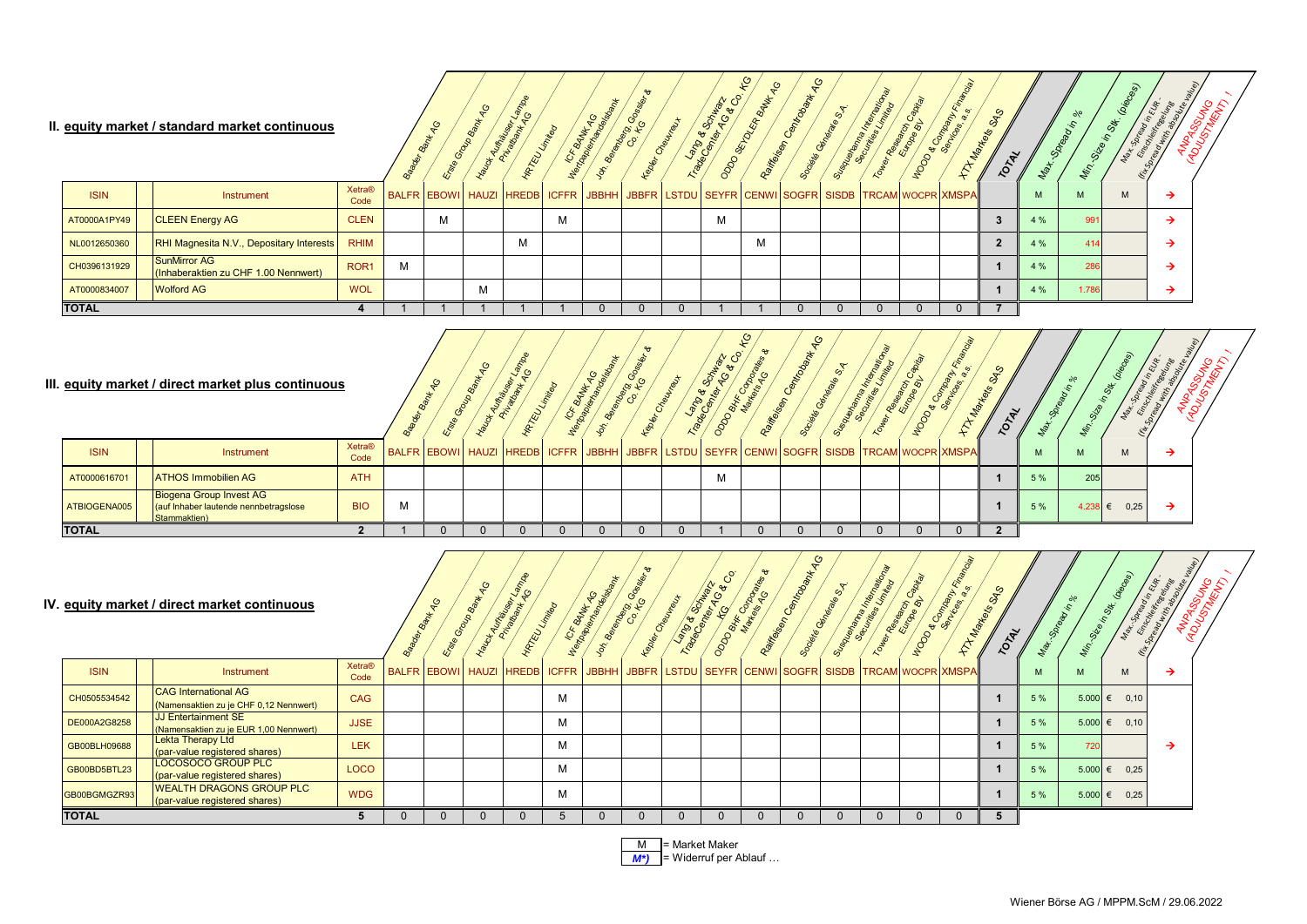#### **II. equity market / standard market continuous**

|              | equity market / standard market continuous           |                       |   | ত | <b>FAUR</b> | 96<br><b>YRTEU</b> |   | $rac{1}{2}$<br>BANKTAGS<br>£, | Belander Co. Kc | べ                                                                                         | <b>SONAWAYS</b><br>$\mathbf{e}$<br>Landon<br>SE | to<br>Keysey | $\mathcal{Q}$ | s, | 溶<br>Internet | Research | Doe Commany<br>Ma | SAS<br>TOTA |     | $\sqrt{6}$<br>$S^{\vee}$<br>Vir. | piec<br>$z^{\star}$ | ई ठू |  |
|--------------|------------------------------------------------------|-----------------------|---|---|-------------|--------------------|---|-------------------------------|-----------------|-------------------------------------------------------------------------------------------|-------------------------------------------------|--------------|---------------|----|---------------|----------|-------------------|-------------|-----|----------------------------------|---------------------|------|--|
| <b>ISIN</b>  | Instrument                                           | <b>Xetra®</b><br>Code |   |   |             |                    |   |                               |                 | BALFR EBOWI HAUZI HREDB ICFFR JBBHH JBBFR LSTDU SEYFR CENWI SOGFR SISDB TRCAM WOCPR XMSPA |                                                 |              |               |    |               |          |                   |             | M   | M                                | M                   |      |  |
| AT0000A1PY49 | <b>CLEEN Energy AG</b>                               | <b>CLEN</b>           |   | M |             |                    | м |                               |                 |                                                                                           | M                                               |              |               |    |               |          |                   |             | 4 % | 99'                              |                     |      |  |
| NL0012650360 | RHI Magnesita N.V., Depositary Interests             | <b>RHIM</b>           |   |   |             | M                  |   |                               |                 |                                                                                           |                                                 | M            |               |    |               |          |                   |             | 4%  | 414                              |                     |      |  |
| CH0396131929 | SunMirror AG<br>(Inhaberaktien zu CHF 1.00 Nennwert) | ROR <sub>1</sub>      | M |   |             |                    |   |                               |                 |                                                                                           |                                                 |              |               |    |               |          |                   |             | 4 % | 286                              |                     |      |  |
| AT0000834007 | <b>Wolford AG</b>                                    | <b>WOL</b>            |   |   | м           |                    |   |                               |                 |                                                                                           |                                                 |              |               |    |               |          |                   |             | 4 % | 1.786                            |                     |      |  |
| <b>TOTAL</b> |                                                      |                       |   |   |             |                    |   |                               |                 |                                                                                           |                                                 |              |               |    |               |          |                   |             |     |                                  |                     |      |  |

### **III. equity market / direct market plus continuous**

|              | equity market / direct market plus continuous                                           |                       |   | ್ಲ                                                                                       | PEL | Reig<br>74 | ender K | べ | <b>Schlade</b><br>You want | $\mathcal{O}$ | O<br>$\overline{\phantom{a}}$ | Inter | $\sigma_{\rm s}$ | <b>SAS</b> |     |         |      | `ی |
|--------------|-----------------------------------------------------------------------------------------|-----------------------|---|------------------------------------------------------------------------------------------|-----|------------|---------|---|----------------------------|---------------|-------------------------------|-------|------------------|------------|-----|---------|------|----|
| <b>ISIN</b>  | Instrument                                                                              | <b>Xetra®</b><br>Code |   | BALFR EBOWI HAUZI HREDB ICFFR JBBHH JBBFR LSTDU SEYFR CENWISOGFR SISDB TRCAM WOCPR XMSPA |     |            |         |   |                            |               |                               |       |                  |            | M   | M       | M    |    |
| AT0000616701 | <b>ATHOS Immobilien AG</b>                                                              | <b>ATH</b>            |   |                                                                                          |     |            |         |   | M                          |               |                               |       |                  |            | 5 % | 205     |      |    |
| ATBIOGENA005 | <b>Biogena Group Invest AG</b><br>(auf Inhaber lautende nennbetragslose<br>Stammaktien) | <b>BIO</b>            | M |                                                                                          |     |            |         |   |                            |               |                               |       |                  |            | 5 % | 4.238 ∈ | 0,25 |    |
| <b>TOTAL</b> |                                                                                         |                       |   |                                                                                          |     |            |         |   |                            |               |                               |       |                  |            |     |         |      |    |

#### **IV. equity market / direct market continuous**

|              | equity market / direct market continuous .                            |                       | ల్ల | $\mathcal{Q}$<br>Group Bank | 25.7<br>H Aumatics<br>HRTEU LIMING |   | Ne TCF BANK<br>Membershaved | <b>Bandardo</b><br>Co Porto<br>tedas | Cheureaux | $\mathcal{C}_{\mathcal{O}}$<br><b>Transport of Capital</b> | <b>DOL</b><br>ODDO BH/K CON | $\mathcal{S}_{\mathbf{P}}$<br>Railways Cempton | Dides General Report | Suecian International Residence | Research Capital                                                                         | HOOD & COMMANDS | CASO<br>Markeys<br>TOTAL |     | Size in<br><b>Ville</b> | Max. Spread in Eur.<br>È<br>Set. | ANPASSUNG<br>ADUSTSUNG |
|--------------|-----------------------------------------------------------------------|-----------------------|-----|-----------------------------|------------------------------------|---|-----------------------------|--------------------------------------|-----------|------------------------------------------------------------|-----------------------------|------------------------------------------------|----------------------|---------------------------------|------------------------------------------------------------------------------------------|-----------------|--------------------------|-----|-------------------------|----------------------------------|------------------------|
| <b>ISIN</b>  | Instrument                                                            | <b>Xetra®</b><br>Code |     |                             |                                    |   |                             |                                      |           |                                                            |                             |                                                |                      |                                 | BALFR EBOWI HAUZI HREDB ICFFR JBBHH JBBFR LSTDU SEYFR CENWISOGFR SISDB TRCAM WOCPR XMSPA |                 |                          | M   | M                       | M                                |                        |
| CH0505534542 | <b>CAG</b> International AG<br>(Namensaktien zu je CHF 0,12 Nennwert) | <b>CAG</b>            |     |                             |                                    | м |                             |                                      |           |                                                            |                             |                                                |                      |                                 |                                                                                          |                 |                          | 5 % |                         | $5.000 \in 0.10$                 |                        |
| DE000A2G8258 | JJ Entertainment SE<br>(Namensaktien zu je EUR 1,00 Nennwert)         | <b>JJSE</b>           |     |                             |                                    | м |                             |                                      |           |                                                            |                             |                                                |                      |                                 |                                                                                          |                 |                          | 5 % | 5.000                   | €<br>0.10                        |                        |
| GB00BLH09688 | <b>Lekta Therapy Ltd</b><br>(par-value registered shares)             | <b>LEK</b>            |     |                             |                                    | м |                             |                                      |           |                                                            |                             |                                                |                      |                                 |                                                                                          |                 |                          | 5 % | 720                     |                                  |                        |
| GB00BD5BTL23 | LOCOSOCO GROUP PLC<br>(par-value registered shares)                   | <b>LOCO</b>           |     |                             |                                    | м |                             |                                      |           |                                                            |                             |                                                |                      |                                 |                                                                                          |                 |                          | 5 % |                         | $5.000 \in 0.25$                 |                        |
| GB00BGMGZR93 | <b>WEALTH DRAGONS GROUP PLC</b><br>(par-value registered shares)      | <b>WDG</b>            |     |                             |                                    | м |                             |                                      |           |                                                            |                             |                                                |                      |                                 |                                                                                          |                 |                          | 5 % | 5.000                   | $\epsilon$ 0.25                  |                        |
| <b>TOTAL</b> |                                                                       |                       |     |                             |                                    |   |                             |                                      |           |                                                            |                             | $\Omega$                                       |                      |                                 |                                                                                          |                 | 5                        |     |                         |                                  |                        |

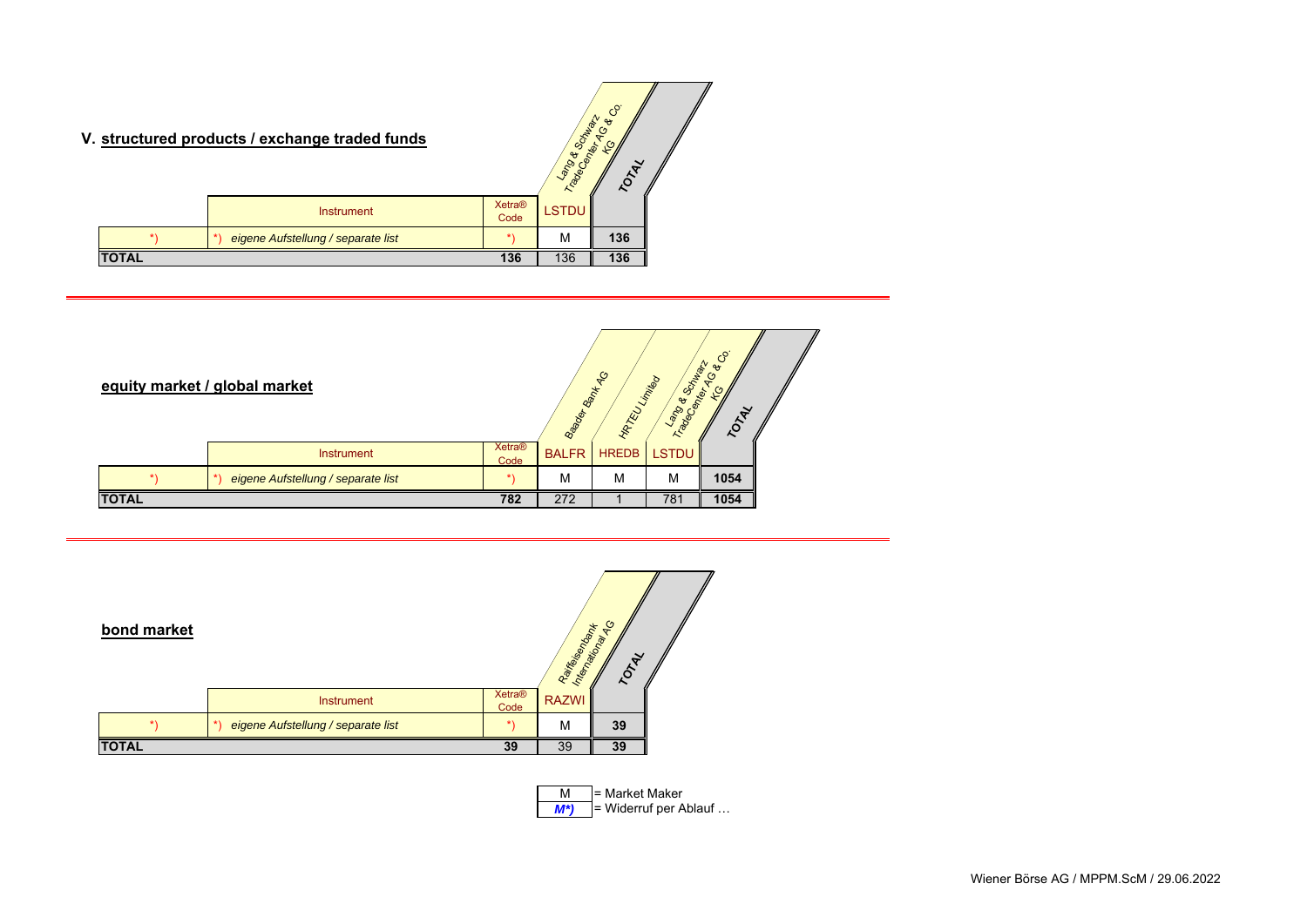# **V. structured products / exchange traded funds**

|       | structured products / exchange traded funds |                       | Schaber<br>Transport of | $\mathcal{C}_{\mathcal{O}}$<br>$\mathbf{e}$<br>TOTA |
|-------|---------------------------------------------|-----------------------|-------------------------|-----------------------------------------------------|
|       | <b>Instrument</b>                           | <b>Xetra®</b><br>Code | <b>LSTDU</b>            |                                                     |
|       | eigene Aufstellung / separate list          |                       | М                       | 136                                                 |
| TOTAL |                                             | 136                   | 136                     | 136                                                 |

| equity market / global market |                                          |                       | Bagger Bank KdG | <b>HRTRU LIMING</b> | <b>PARTIES</b><br>Tradec | <b>Scotland Rd</b><br>Reversed Rd<br>TOTAL |  |
|-------------------------------|------------------------------------------|-----------------------|-----------------|---------------------|--------------------------|--------------------------------------------|--|
|                               | <b>Instrument</b>                        | <b>Xetra®</b><br>Code | <b>BALFR</b>    | <b>HREDB</b>        | <b>LSTDU</b>             |                                            |  |
|                               | eigene Aufstellung / separate list<br>*) |                       | M               | M                   | M                        | 1054                                       |  |
| <b>TOTAL</b>                  |                                          | 782                   | 272             |                     | 781                      | 1054                                       |  |

| bond market  |                                    |                       | Railways Mary<br>Interprison | $\frac{6}{5}$<br>TONE |  |
|--------------|------------------------------------|-----------------------|------------------------------|-----------------------|--|
|              | <b>Instrument</b>                  | <b>Xetra®</b><br>Code | <b>RAZWI</b>                 |                       |  |
|              | eigene Aufstellung / separate list |                       | M                            | 39                    |  |
| <b>TOTAL</b> |                                    | 39                    | 39                           | 39                    |  |